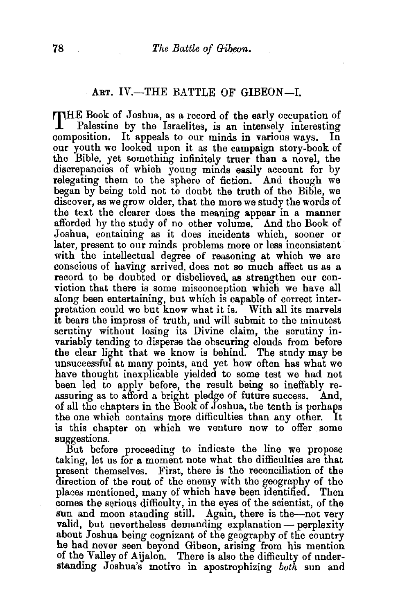## ART. IV.-THE BATTLE OF GIBEON-I.

THE Book of Joshua, as a record of the early occupation of Palestine by the Israelites, is an intensely interesting composition. It appeals to our minds in various ways. In our youth we looked upon it as the campaign story-book of the Bible, yet something infinitely truer than a novel, the discrepancies of which young minds easily account for by relegating them to the sphere of fiction. And though we began by being told not to doubt the truth of the Bible, we discover, as we grow older, that the more we study the words of the text the clearer does the meaning appear in a manner afforded by the study of no other volume. And the Book of Joshua, containing as it does incidents which, sooner or later, present to our minds problems more or less inconsistent· with the intellectual degree of reasoning at which we are conscious of having arrived, does not so much affect us as a record to be doubted or disbelieved, as strengthen our conviction that there is some misconception which we have all along been entertaining, but which is capable of correct interpretation could we but know what it is. With all its marvels It bears the impress of truth, and will submit to the minutest scrutiny without losing its Divine claim, the scrutiny invariably tending to disperse the obscuring clouds from before the clear light that we know is behind. The study may be unsuccessful at many points, and yet how often has what we have thought inexplicable yielded to some test we had not been led to apply before, the result being so ineffably reassuring as to afford a bright pledge of future success. And, of all the chapters in the Book of Joshua, the tenth is perhaps the one which contains more difficulties than any other. is this chapter on which we venture now to offer some suggestions.

But before proceeding to indicate the line we propose taking, let us for a moment note what the difficulties are that present themselves. First, there is the reconciliation of the direction of the rout of the enemy with the geography of the places mentioned, many of which have been 1dentified. 'fhen comes the serious difficulty, in the eyes of the scientist, of the sun and moon standing still. Again, there is the-not very valid, but nevertheless demanding explanation- perplexity about Joshua being cognizant of the geography of the country he had never seen beyond Gibeon, arising from his mention of the Valley of Aijalon. There is also the difficulty of understanding Joshua's motive in apostrophizing *both* sun and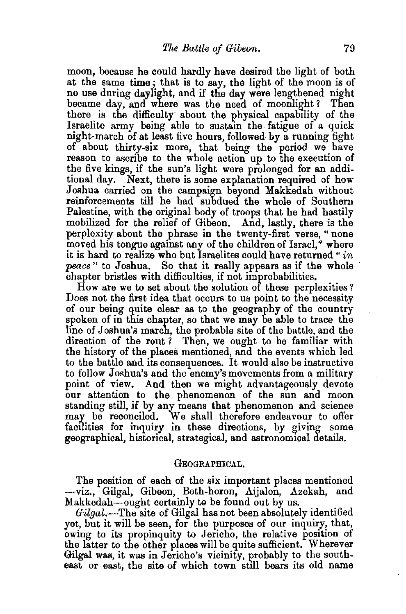moon, because he could hardly have desired the light of both at the same time; that is to say, the light of the moon is of no use during daylight, and if the day were lengthened night became day, and where was the need of moonlight? Then there is the difficulty about the physical capability of the Israelite army being able to sustam the fatigue of a quick night-march of at least five hours, followed. by a running fight of about thirty-six more, that being the period we have reason to ascribe to the whole action up to the execution of the five kings, if the sun's light were prolonged for an additional day. Next, there is some explanation required of how Joshua carried on the campaign beyond Makkedah without reinforcements till he had subdued the whole of Southern Palestine, with the original body of troops that he had hastily mobilized for the relief of Gibeon. And, lastly, there is the perplexity about the phrase in the twenty-first verse, "none moved his tongue against any of the children of Israel,'' where it is hard to realize who but Israelites could have returned" *in peace* " to Joshua. So that it really appears as if the whole chapter bristles with difficulties, if not improbabilities,

How are we to set about the solution of these perplexities? Does not the first idea that occurs to us point to the necessity of our being quite clear as to the geography of the country spoken of in this chapter, so that we may be able to trace the line of Joshua's march, the probable site of the battle, and the direction of the rout? Then, we ought to be familiar with the history of the places mentioned, and the events which led to the battle and its consequences. It would also be instructive to follow Joshua's and the enemy's movements from a military point of view. And then we might advantageously devote our attention to the phenomenon of the sun and moon standing still, if by any means that phenomenon and science may be reconciled. We shall therefore endeavour to offer facilities for inquiry in these directions, by giving some geographical, historical, strategical, and astronomical details.

## GEOGRAPHICAL.

The position of each of the six important places mentioned -viz., Gilgal, Gibeon, Beth-boron, Aijalon, Azekah, and Makkedah—ought certainly to be found out by us.

*Gilgal.-The* site of Gilgal has not been absolutely identified yet, but it will be seen, for the purposes of our inquiry, that, owing to its propinquity to Jericho, the relative position of the latter to the other places will be quite sufficient. Wherever Gilgal was, it was in Jericho's vicinity, probably to the southeast or east, the site of which town still bears its old name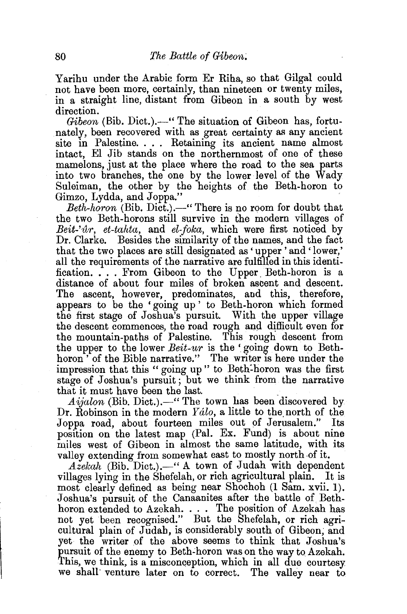Yarihu under the Arabic form Er Riha, so that Gilgal could not have been more, certainly, than nineteen or twenty miles, in a straight line, distant from Gibeon in a south by west direction.

*Gibeon (Bib. Dict.).*—" The situation of Gibeon has, fortunately, been recovered with as great certainty as any ancient site in Palestine. . . . Retaining its ancient name almost intact, El Jib stands on the northernmost of one of these mamelons, just at the place where the road to the sea parts into two branches, the one by the lower level of the Wady Suleiman, the other by the heights of the Beth-horon to Gimzo, Lydda, and Joppa."

*Beth-horon* (Bib. Dict.).-" There is no room for doubt that the two Beth-horons still survive in the modern villages of *Beit-''lir, et-tahta,* and *el-foka,* which were first noticed by Dr. Clarke. Besides the similarity of the names, and the fact that the two places are still designated as 'upper 'and ' lower,' all the requirements of the narrative are fulfilled in this identification. . . . From Gibeon to the Upper. Beth-boron is a distance of about four miles of broken ascent and descent. The ascent, however, predominates, and this, therefore, appears to be the 'going up ' to Beth-horon which formed the first stage of Joshua's pursuit. With the upper village the descent commences, the road rough and difficult even for the mountain-paths of Palestine. This rough descent from the upper to the lower *Beit-ur* is the ' going down to Bethhoron<sup>5</sup> of the Bible narrative." The writer is here under the impression that this " going up " to Beth:horon was the first stage of Joshua's pursuit ; but we think from the narrative that it must have been the last.

*Aijalon* (Bib. Dict.).-" The town has been discovered by Dr. Robinson in the modern  $Yalo$ , a little to the north of the Joppa road, about fourteen miles out of Jerusalem." Its position on the latest map (Pal. Ex. Fund) is about nine miles west of Gibeon in almost the same latitude, with its valley extending from somewhat east to mostly north of it.

Azekah (Bib. Dict.).-" A town of Judah with dependent villages lying in the Shefelah, or rich agricultural plain. It is most clearly defined as being near Shochoh (1 Sam. xvii. 1). Joshua's pursuit of the Canaanites after the battle of Bethhoron extended to Azekah. . . . The position of Azekah has not yet been recognised." But the Shefelah, or rich agricultural plain of Judah, is considerably south of Gibeon, and yet the writer of the above seems to think that Joshua's pursuit of the enemy to Beth-horon was on the way to Azekah. This, we think, is a misconception, which in all due courtesy we shall' venture later on to correct. The valley near to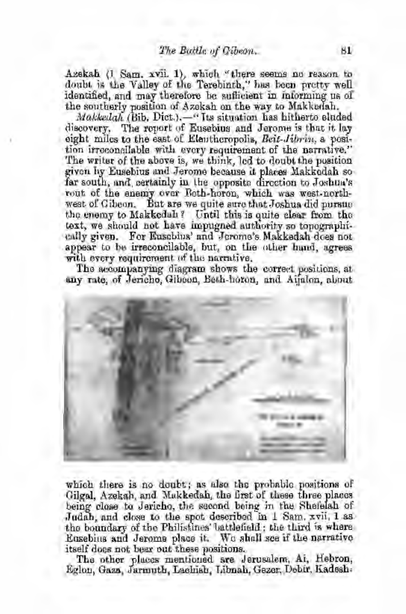Azekah (l. Sam. xvii. 1), which "there seems no reason to doubt is the Valley of the Terebinth," has been pretty well ident.ified, and may therefore be suflieient in informing us of the southerly position of Azekah on the way to Makkedah.

*Makkedah (Bib. Dict.).*-" Its situation has hitherto eluded discovery. The report of Eusebius and Jerome is that it lay eight miles to the east of Eleuthcropolis, Bcit-Jibrin, a position irroconsilable with every requirement of the narrative." The writer of the above is, we think, led to doubt the position given by Eusebius and Jerome because it places Makkodah so far south, and certainly in the opposite direction to Joshua's rout of the enemy over Both-horon, which was west-northwest of Gibeon. But are we quite sure that Joshua did pursue the enemy to Makkedah? Until this is quite clear from the text, we should not have impugned authority so topographically given. For Euschins' and Jerome's Makkedah does not appear to be irreconcilable, but, on the other hand, agrees with every requirement of the narrative.

The accompanying diagram shows the correct positions, at any rate, of Jericho, Gibeon, Beth-horon, and Aijalon, about



which there is no doubt; as also the probable positions of Gilgal, Azekah, and Makkedah, the first of these three places being close to Jericho, the second being in the Shefelah of Judah, and close to the spot described in  $1$  Sam.  $xvii$ ,  $1$  as the boundary of the Philistines' battlefield; the third is where Eusebius and Jerome place it. We shall see if the narrative

itself does not bear out these positions. . . . . . . . The other places mentioned are J erusalem, Ai,. Hebron, Eglon, Gaza, Jarmuth, Lachish, Libnah, Gezer, Debir, Kadesh-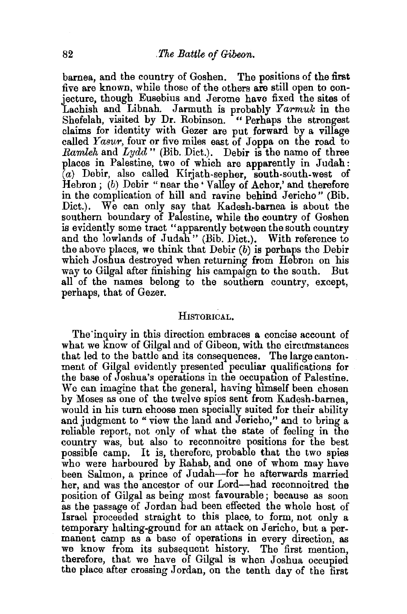barnea, and the country of Goshen. The positions of the first five are known, while those of the others are still open to conjecture, though Eusebius and Jerome have fixed the sites of Lachish and Libnah. Jarmuth is probably *Yarmuk* in the Shefelah, visited by Dr. Robinson. " Perhaps the strongest claims for identity with Gazer are put forward by a village called *Y asur*, four or five miles east of Joppa on the road to *Ramleh* and *Lydd"* (Bib. Diet.). Debir is the name of three places in Palestine, two of which are apparently in Judah:  $(a)$  Debir, also called Kirjath-sepher, south-south-west of Hebron; (b) Debir "near the 'Valley of Achor,' and therefore in the complication of hill and ravine behind Jericho" (Bib. Dict.). We can only say that Kadesh-barnea is about the southern boundary of Palestine, while the country of Goshen is evidently some tract "apparently between the south country and the lowlands of Judah" (Bib. Diet.). With reference to the above places, we think that Debir  $(b)$  is perhaps the Debir which Joshua destroyed when returning from Hebron on his way to Gilgal after finishing his campaign to the south. But all of the names belong to the southern country, except, perhaps, that of Gezer.

## HISTORICAL.

The'inquiry in this direction embraces a concise account of what we know of Gilgal and of Gibeon, with the circumstances that led to the battle and its consequences. The large cantonment of Gilgal evidently presented peculiar qualifications for the base of Joshua's operations in the occupation of Palestine. We can imagine that the general, having himself been chosen by Moses as one of the twelve spies sent from Kadesh-barnea, would in his turn choose men specially suited for their ability and judgment to " view the land and Jericho," and to bring a reliable report, not only of what the state of feeling in the country was, but also to reconnoitre positions for the best possible camp. It is, therefore, probable that the two spies who were harboured by Rahab, and one of whom may have been Salmon, a prince of Judah-for he afterwards married her, and was the ancestor of our Lord-had reconnoitred the position of Gilgal as being most favourable; because as soon as the passage of Jordan had been effected the whole host of Israel proceeded straight to this place, to form, not only a temporary halting-ground for an attack on Jericho, but a permanent camp as a base of operations in every direction, as we know from its subsequent history. The first mention, therefore, that we have of Gilgal is when Joshua occupied the place after crossing Jordan, on the tenth day of the first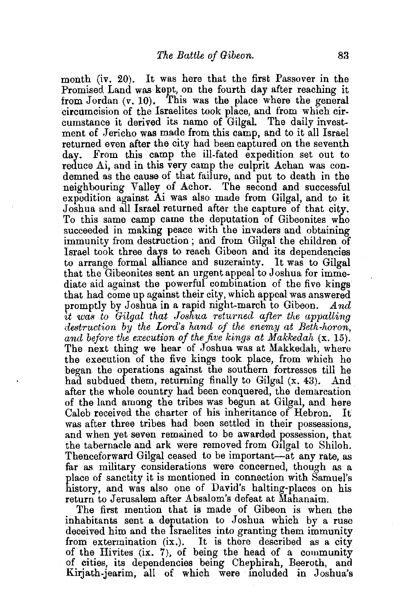month (iv. 20). It was here that the first Passover in the Promised. Land was kept, on the fourth day after reaching it from Jordan  $(v, 10)$ . This was the place where the general circumcision of the Israelites took place, and from which circumstance it derived its name of Gilgal. The daily investment of Jericho was made from this camp, and to it all Israel returned even after the city had been captured on the seventh From this camp the ill-fated expedition set out to reduce Ai, and in this very camp the culprit Achan was condemned as the cause of that failure, and put to death in the neighbouring Valley of Achor. The second and successful expedition against Ai was also made from Gilgal, and to it Joshua and all Israel returned after the capture of that city. To this same camp came the deputation of Gibeonites who succeeded in making peace with the invaders and obtaining immunity from destruction; and from Gilgal the children of Israel took three days to reach Gibeon and its dependencies to arrange formal alliance and suzerainty. It was to Gilgal that the Gibeonites sent an urgent appeal to Joshua for immediate aid against the powerful combination of the five kings that had come up against their city, which appeal was answered promptly by Joshua in a rapid night-march to Gibeon. *And*  it was to Gilgal that Joshua returned after the appalling *destruction by the Lord's hand of the enemy at Beth-horon, and before the execution of the five kings at Makkedah* (x. 15). The next thing we hear of Joshua was at Makkedah, where the execution of the five kings took place, from which he began the operations against the southern fortresses· till he had subdued them, returning finally to Gilgal (x. 43). And after the whole country had been conquered, the demarcation of the land among the tribes was begun at Gilgal, and here Caleb received the charter of his inheritance of Hebron. was after three tribes had been settled in their possessions, and when yet seven remained to be awarded possession, that the tabernacle and ark were removed from Gilgal to Shiloh. Thenceforward Gilgal ceased to be important-at any rate, as far as military considerations were concerned, though as a place of sanctity it is mentioned in connection with Samuel's history, and was also one of David's halting-places on his return to Jerusalem after Absalom's defeat at Mahanaim.

The first mention that is made of Gibeon is when the inhabitants sent a deputation to Joshua which by a ruse deceived him and the Israelites into granting them immunity from extermination (ix.). It is there described as a city of the Hivites (ix. 7), of being the head of a community of cities, its dependencies being Chephirah, Beeroth, and Kirjath-jearim, all of which were included in Joshua's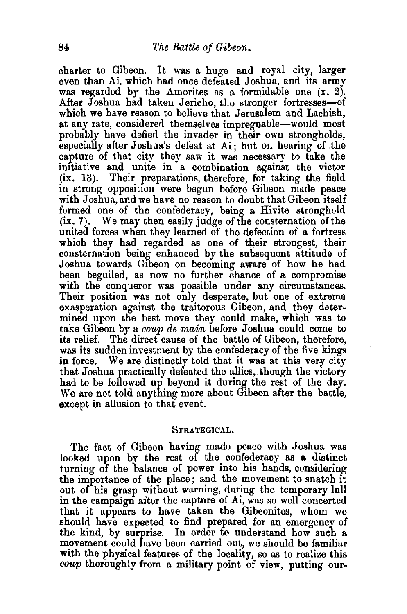charter to Gibeon. It was a huge and royal city, larger even than Ai, which had once defeated Joshua, and its army was regarded by the Amorites as a formidable one  $(x, 2)$ . After Joshua had taken Jericho, the stronger fortresses-of which we have reason to believe that Jerusalem and Lachish, at any rate, considered themselves impregnable—would most probably have defied the invader in their own strongholds, especially after Joshua's defeat at Ai; but on hearing of .the capture of that city they saw it was necessary to take the imtiative and unite in a combination against the victor (ix. 13). Their preparations, therefore, for taking the field in strong opposition were begun before Gibeon made peace with Joshua, and we have no reason to doubt that Gibeon itself formed one of the confederacy, being a Hivite stronghold (ix. 7). We may then easily judge of the consternation of the united forces when they learned of the defection of a fortress which they had regarded as one of their strongest, their consternation being enhanced by the subsequent attitude of Joshua towards G1beon on becoming aware of how he had been beguiled, as now no further chance of a compromise with the conqueror was possible under any circumstances. Their position was not only desperate, but one of extreme exasperation against the traitorous Gibeon, and they determined upon the best move they could make, which was to take Gibeon by a *coup de main* before Joshua could come to The direct cause of the battle of Gibeon, therefore, was its sudden investment by the confederacy of the five kings in force. We are distinctly told that it was at this very city that Joshua practically defeated the allies, though the victory had to be followed up beyond it during the rest of the day. We are not told anything more about Gibeon after the battle, except in allusion to that event.

## STRATEGICAL.

The fact of Gibeon having made peace with Joshua was looked upon by the rest of the confederacy as a distinct turning of the balance of power into his hands, considering the importance of the place; and the movement to snatch it out of his grasp without warning, during the temporary lull in the campaign after the capture of Ai, was so well concerted that it appears to have taken the Gibeonites, whom we should have expected to find prepared for an emergency of the kind, by surprise. In order to understand how such a movement could have been carried out, we should be familiar with the physical features of the locality, so as to realize this coup thoroughly from a military point of view, putting our-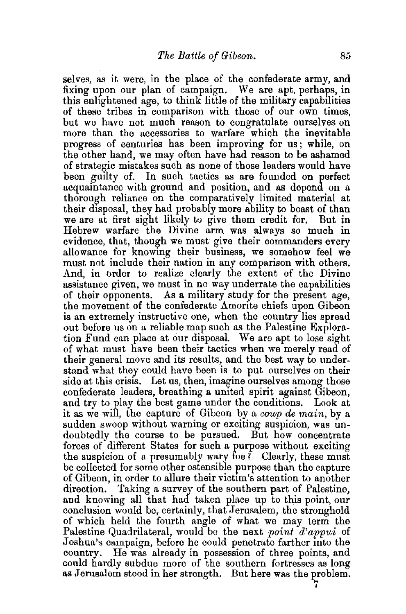selves, as it were, in the place of the confederate army, and fixing upon our plan of campaign. We are apt, perhaps, in this enlightened age, to think little of the military capabilities of these tribes in comparison with those of our own times, but we have not much reason to congratulate ourselves on more than the accessories to warfare which the inevitable progress of centuries has been improving for us; while, on the other hand, we may often have had reason to be ashamed of strategic mistakes such as none of those leaders would have been guilty of. In such tactics as are founded on perfect acquaintance with ground and position, and as depend on a thorough reliance on the comparatively limited material at their disposal, they had probably more ability to boast of than we are at first sight likely to give them credit for. But in Hebrew warfare the Divine arm was always so much in evidence, that, though we must give their commanders every allowance for knowing their business, we somehow feel we must not include their nation in any comparison with others. And, in order to realize clearly the extent of the Divine assistance given, we must in no way underrate the capabilities of their opponents. As a military study for the present age, the movement of the confederate Amorite chiefs upon Gibeon is an extremely instructive one, when the country lies spread out before us on a reliable map such as the Palestine Exploration Fund can place at our disposal. We are apt to lose sight of what must have been their tactics when we merely read of their general move and its results, and the best way to understand what they could have been is to put ourselves on their side at this crisis. Let us, then, imagine ourselves among those confederate leaders, breathing a united spirit against Gibeon, and try to play the best game under the conditions. Look at it as we will, the capture of Gibeon by a *coup de main,* by a sudden swoop without warning or exciting suspicion, was undoubtedly the course to be pursued. But how concentrate forces of different States for such a purpose without exciting the suspicion of a presumably wary foe? Clearly, these must be collected for some other ostensible purpose than the capture of Gibeon, in order to allure their victim's attention to another direction. Taking a survey of the southern part of Palestine, and knowing all that had taken place up to this point, our conclusion would be, certainly, that Jerusalem, the stronghold of which held the fourth angle of what we may term the Palestine Quadrilateral, would be the next *point d'appui* of Joshua's campaign, before he could penetrate farther into the country. He was already in possession of three points, and could hardly subdue more of the southern fortresses as long as Jerusalem stood in her strength. But here was the problem.

7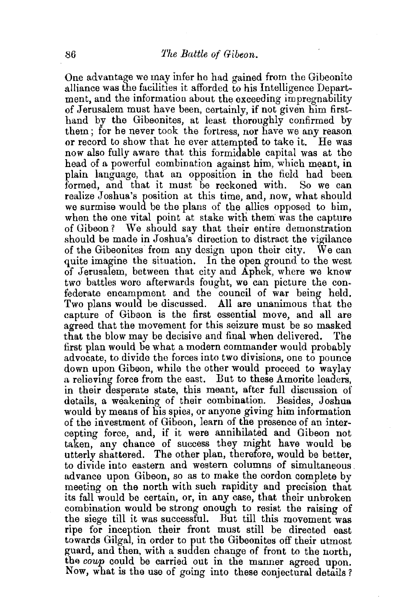One advantage we may infer he had gained from the Gibeonite alliance was the facilities it afforded to his Intelligence Department, and the information about the exceeding impregnability of Jerusalem must have been, certainly, if not given him firsthand by the Gibeonites, at least thoroughly confirmed by them; for he never took the fortress, nor have we any reason or record to show that he ever attempted to take it. He was now also fully aware that this formidable capital was at the head of a powerful combination against him, which meant, in plain language, that an opposition in the field had been formed, and that it must be reckoned with. So we can realize Joshua's position at this time, and, now, what should we surmise would be the plans of the allies opposed to him. when the one vital point at stake with them was the capture of Gibeon? We should say that their entire demonstration should be made in Joshua's direction to distract the vigilance of the Gibeonites from any design upon their city. We can quite imagine the situation. In the open ground to the west of Jerusalem, between that city and Aphek, where we know two battles were afterwards fought, we can picture the confederate encampment and the council of war being held. Two plans would be discussed. All are unanimous that the capture of Gibaon is the first essential move, and all are agreed that the movement for this seizure must be so masked that the blow may be decisive and final when delivered. The first plan would be what a modern commander would probably advocate, to divide the forces into two divisions, one to pounce down upon Gibeon, while the other would proceed to waylay a relieving force from the east. But to these Amorite leaders, in their desperate state, this meant, after full discussion of details, a weakening of their combination. Besides, Joshua would by means of his spies, or anyone giving him information of the investment of Gibeon, learn of the presence of an intercepting force, and, if it were annihilated and Gibeon not taken, any chance of success they might have would be utterly shattered. The other plan, therefore, would be better, to divide into eastern and western columns of simultaneous. advance upon Gibeon, so as to make the cordon complete by meeting on the north with such rapidity and precision that its fall would be certain, or, in any case, that their unbroken combination would be strong enough to resist the raising of the siege till it was successful. But till this movement was ripe for inception their front must still be directed east towards Gilgal, in order to put the Gibeonites off their utmost guard, and then, with a sudden change of front to the north, the *coup* could be carried out in the manner agreed upon. Now, what is the use of going into these conjectural details?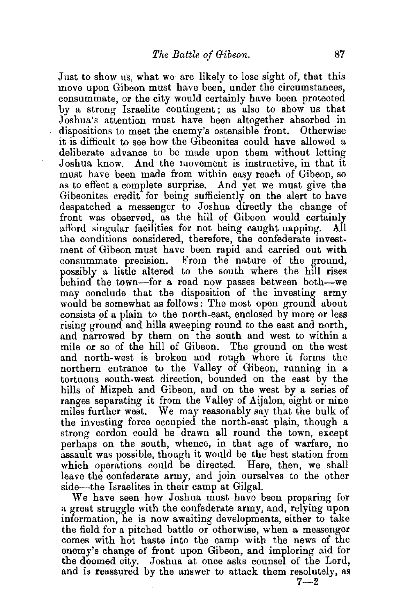Just to show us, what we are likely to lose sight of, that this move upon Gibeon must have been, under the circumstances, consummate, or the city would certainly have been protected by a strong Israelite contingent; as also to show us that Joshua's attention must have been altogether absorbed in dispositions to meet the enemy's ostensible front. Otherwise it is difficult to see how the Gibeonites could have allowed a deliberate advance to be made upon them without letting Joshua know. And the movement is instructive, in that it must have been made from within easy reach of Gibeon, so as to effect a complete surprise. And yet we must give the Gibeonites credit for being sufficiently on the alert to have despatched a messenger to Joshua directly the change of front was observed, as the hill of Gibeon would certainly afford singular facilities for not being caught napping. All afford singular facilities for not being caught napping. the conditions considered, therefore, the confederate investment of Gibeon must have been rapid and carried out with consummate precision. From the nature of the ground, possibly a little altered to the south where the hill rises behind the town—for a road now passes between both—we may conclude that the disposition of the investing army would be somewhat as follows: The most open ground about consists of a plain to the north-east, enclosed by more or less rising ground and hills sweeping round to the east and north, and narrowed by them on the south and west to within a mile or so of the hill of Gibeon. The ground on the west and north-west is broken and rough where it forms the northern entrance to the Valley of Gibeon, running in a tortuous south-west direction, bounded on the east by the hills of Mizpeh and Gibeon, and on the west by a series of ranges separating it from the Valley of Aijalon, eight or nine miles further west. We may reasonably say that the bulk of the investing force occupied the north-east plain, though a strong cordon could be drawn all round the town, except perhaps on the south, whence, in that age of warfare, no

assault was possible, though it would be the best station from which operations could be directed. Here, then, we shall leave the confederate army, and join ourselves to the other side—the Israelites in their camp at Gilgal.

We have seen how Joshua must have been preparing for a great struggle with the confederate army, and, relying upon information, he is now awaiting developments, either to take the field for a pitched battle or otherwise, when a messenger comes with hot haste into the camp with the news of the enemy's change of front upon Gibeon, and imploring aid for the doomed city. Joshua at once asks counsel of the Lord, and is reassured by the answer to attack them resolutely, as

 $7 - 2$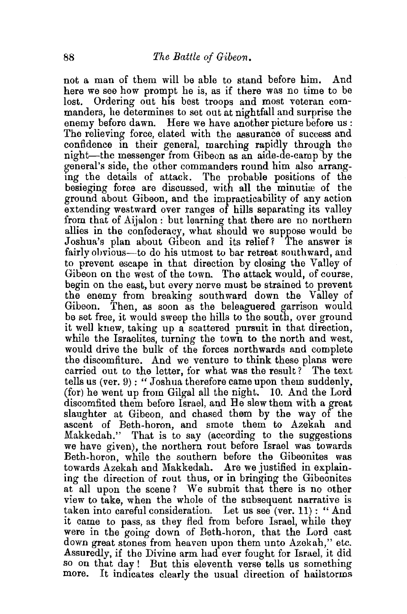not a man of them will be able to stand before him. And here we see how prompt he is, as if there was no time to be lost. Ordering out his best troops and most veteran commanders, he determines to set out at nightfall and surprise the enemy before dawn. Here we have another picture before us : The relieving force, elated with the assurance of success and confidence in their general, marching rapidly through the night-the messenger from Gibeon as an aide-de-camp by the general's side, the other commanders round him also arranging the details of attack. The probable positions of the besieging force are discussed, with all the minutiæ of the ground about Gibeon, and the impracticability of any action extending westward over ranges of hills separating its valley from that of Aijalon: but learning that there are no northern allies in the confederacy, what should we suppose would be Joshua's plan about Gibeon and its relief? The answer is fairly ohvious-to do his utmost to bar retreat southward, and to prevent escape in that direction by closing the Valley of Gibeon on the west of the town. The attack would, of course, begin on the east, but every nerve must be strained to prevent the enemy from breaking southward down the Valley of Gibeon. Then, as soon as the beleaguered garrison would be set free, it would sweep the hills to the south, over ground it well knew, taking up a scattered pursuit in that direction, while the Israelites, turning the town to the north and west, would drive the bulk of the forces northwards and complete the discomfiture. And we venture to think these plans were carried out to the letter, for what was the result? The text tells us (ver. 9) : " Joshua therefore came upon them suddenly, (for) he went up from Gilgal all the night. 10. And the Lord discomfited them before Israel, and Be slew them with a great slaughter at Gibeon, and chased them by the way of the ascent of Beth-boron, and smote them to Azekah and Makkedah." That is to say (according to the suggestions we have given), the northern rout before Israel was towards Beth-boron, while the southern before the Gibeonites was towards Azekah and Makkedah. Are we justified in explaining the direction of rout thus, or in bringing the Gibeonites at all upon the scene? We submit that there is no other view to take, when the whole of the subsequent narrative is taken into careful consideration. Let us see (ver. 11) : "And it came to pass, as they fled from before Israel, while they were in the going down of Beth-boron, that the Lord cast down great stones from heaven upon them unto Azekah," etc. Assuredly, if the Divine arm had ever fought for Israel, it did so on that day ! But this eleventh verse tells us something more. It indicates clearly the usual direction of hailstorms